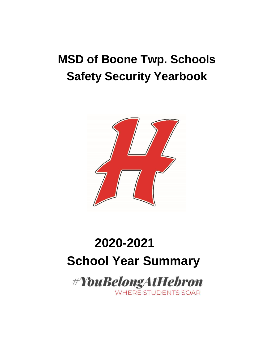## **MSD of Boone Twp. Schools Safety Security Yearbook**



# **2020-2021 School Year Summary**

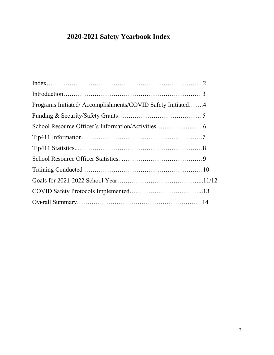## **2020-2021 Safety Yearbook Index**

| Programs Initiated/Accomplishments/COVID Safety Initiated4 |  |
|------------------------------------------------------------|--|
|                                                            |  |
|                                                            |  |
|                                                            |  |
|                                                            |  |
|                                                            |  |
|                                                            |  |
|                                                            |  |
|                                                            |  |
|                                                            |  |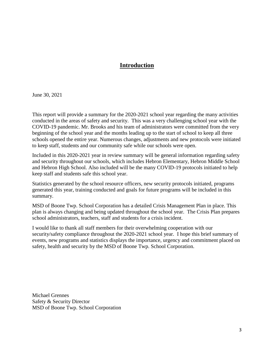#### **Introduction**

June 30, 2021

This report will provide a summary for the 2020-2021 school year regarding the many activities conducted in the areas of safety and security. This was a very challenging school year with the COVID-19 pandemic. Mr. Brooks and his team of administrators were committed from the very beginning of the school year and the months leading up to the start of school to keep all three schools opened the entire year. Numerous changes, adjustments and new protocols were initiated to keep staff, students and our community safe while our schools were open.

Included in this 2020-2021 year in review summary will be general information regarding safety and security throughout our schools, which includes Hebron Elementary, Hebron Middle School and Hebron High School. Also included will be the many COVID-19 protocols initiated to help keep staff and students safe this school year.

Statistics generated by the school resource officers, new security protocols initiated, programs generated this year, training conducted and goals for future programs will be included in this summary.

MSD of Boone Twp. School Corporation has a detailed Crisis Management Plan in place. This plan is always changing and being updated throughout the school year. The Crisis Plan prepares school administrators, teachers, staff and students for a crisis incident.

I would like to thank all staff members for their overwhelming cooperation with our security/safety compliance throughout the 2020-2021 school year. I hope this brief summary of events, new programs and statistics displays the importance, urgency and commitment placed on safety, health and security by the MSD of Boone Twp. School Corporation.

Michael Grennes Safety & Security Director MSD of Boone Twp. School Corporation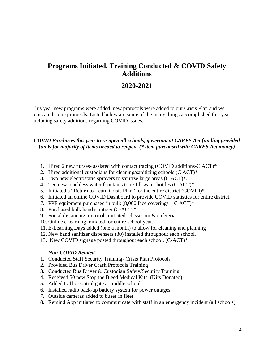## **Programs Initiated, Training Conducted & COVID Safety Additions**

#### **2020-2021**

This year new programs were added, new protocols were added to our Crisis Plan and we reinstated some protocols. Listed below are some of the many things accomplished this year including safety additions regarding COVID issues.

#### *COVID Purchases this year to re-open all schools, government CARES Act funding provided funds for majority of items needed to reopen. (\* item purchased with CARES Act money)*

- 1. Hired 2 new nurses- assisted with contact tracing (COVID additions-C ACT)\*
- 2. Hired additional custodians for cleaning/sanitizing schools (C ACT)\*
- 3. Two new electrostatic sprayers to sanitize large areas (C ACT)\*.
- 4. Ten new touchless water fountains to re-fill water bottles (C ACT)\*
- 5. Initiated a "Return to Learn Crisis Plan" for the entire district (COVID)\*
- 6. Initiated an online COVID Dashboard to provide COVID statistics for entire district.
- 7. PPE equipment purchased in bulk (8,000 face coverings C ACT)\*
- 8. Purchased bulk hand sanitizer (C-ACT)\*
- 9. Social distancing protocols initiated- classroom & cafeteria.
- 10. Online e-learning initiated for entire school year.
- 11. E-Learning Days added (one a month) to allow for cleaning and planning
- 12. New hand sanitizer dispensers (30) installed throughout each school.
- 13. New COVID signage posted throughout each school. (C-ACT)\*

#### *Non-COVID Related*

- 1. Conducted Staff Security Training- Crisis Plan Protocols
- 2. Provided Bus Driver Crash Protocols Training
- 3. Conducted Bus Driver & Custodian Safety/Security Training
- 4. Received 50 new Stop the Bleed Medical Kits. (Kits Donated)
- 5. Added traffic control gate at middle school
- 6. Installed radio back-up battery system for power outages.
- 7. Outside cameras added to buses in fleet
- 8. Remind App initiated to communicate with staff in an emergency incident (all schools)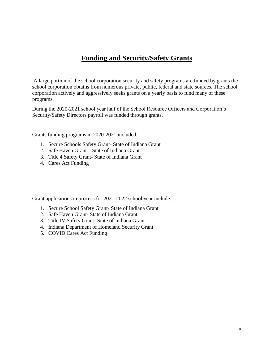## **Funding and Security/Safety Grants**

A large portion of the school corporation security and safety programs are funded by grants the school corporation obtains from numerous private, public, federal and state sources. The school corporation actively and aggressively seeks grants on a yearly basis to fund many of these programs.

During the 2020-2021 school year half of the School Resource Officers and Corporation's Security/Safety Directors payroll was funded through grants.

Grants funding programs in 2020-2021 included:

- 1. Secure Schools Safety Grant- State of Indiana Grant
- 2. Safe Haven Grant State of Indiana Grant
- 3. Title 4 Safety Grant- State of Indiana Grant
- 4. Cares Act Funding

Grant applications in process for 2021-2022 school year include:

- 1. Secure School Safety Grant- State of Indiana Grant
- 2. Safe Haven Grant- State of Indiana Grant
- 3. Title IV Safety Grant- State of Indiana Grant
- 4. Indiana Department of Homeland Security Grant
- 5. COVID Cares Act Funding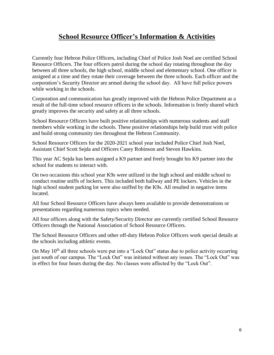## **School Resource Officer's Information & Activities**

Currently four Hebron Police Officers, including Chief of Police Josh Noel are certified School Resource Officers. The four officers patrol during the school day rotating throughout the day between all three schools, the high school, middle school and elementary school. One officer is assigned at a time and they rotate their coverage between the three schools. Each officer and the corporation's Security Director are armed during the school day. All have full police powers while working in the schools.

Corporation and communication has greatly improved with the Hebron Police Department as a result of the full-time school resource officers in the schools. Information is freely shared which greatly improves the security and safety at all three schools.

School Resource Officers have built positive relationships with numerous students and staff members while working in the schools. These positive relationships help build trust with police and build strong community ties throughout the Hebron Community.

School Resource Officers for the 2020-2021 school year included Police Chief Josh Noel, Assistant Chief Scott Sejda and Officers Casey Robinson and Steven Hawkins.

This year AC Sejda has been assigned a K9 partner and freely brought his K9 partner into the school for students to interact with.

On two occasions this school year K9s were utilized in the high school and middle school to conduct routine sniffs of lockers. This included both hallway and PE lockers. Vehicles in the high school student parking lot were also sniffed by the K9s. All resulted in negative items located.

All four School Resource Officers have always been available to provide demonstrations or presentations regarding numerous topics when needed.

All four officers along with the Safety/Security Director are currently certified School Resource Officers through the National Association of School Resource Officers.

The School Resource Officers and other off-duty Hebron Police Officers work special details at the schools including athletic events.

On May 10<sup>th</sup> all three schools were put into a "Lock Out" status due to police activity occurring just south of our campus. The "Lock Out" was initiated without any issues. The "Lock Out" was in effect for four hours during the day. No classes were affected by the "Lock Out".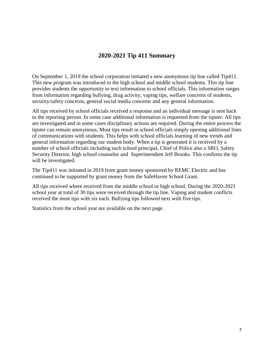#### **2020-2021 Tip 411 Summary**

On September 1, 2019 the school corporation initiated a new anonymous tip line called Tip411. This new program was introduced to the high school and middle school students. This tip line provides students the opportunity to text information to school officials. This information ranges from information regarding bullying, drug activity, vaping tips, welfare concerns of students, security/safety concerns, general social media concerns and any general information.

All tips received by school officials received a response and an individual message is sent back to the reporting person. In some case additional information is requested from the tipster. All tips are investigated and in some cases disciplinary actions are required. During the entire process the tipster can remain anonymous. Most tips result in school officials simply opening additional lines of communications with students. This helps with school officials learning of new trends and general information regarding our student body. When a tip is generated it is received by a number of school officials including each school principal, Chief of Police also a SRO, Safety Security Director, high school counselor and Superintendent Jeff Brooks. This confirms the tip will be investigated.

The Tip411 was initiated in 2019 from grant money sponsored by REMC Electric and has continued to be supported by grant money from the SafeHaven School Grant.

All tips received where received from the middle school or high school. During the 2020-2021 school year at total of 30 tips were received through the tip line. Vaping and student conflicts received the most tips with six each. Bullying tips followed next with five tips.

Statistics from the school year are available on the next page.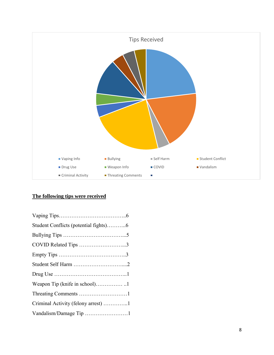

## **The following tips were received**

| COVID Related Tips 3   |  |
|------------------------|--|
|                        |  |
|                        |  |
|                        |  |
|                        |  |
| Threating Comments 1   |  |
|                        |  |
| Vandalism/Damage Tip 1 |  |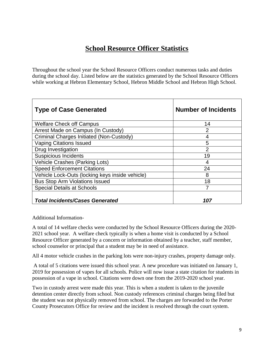## **School Resource Officer Statistics**

Throughout the school year the School Resource Officers conduct numerous tasks and duties during the school day. Listed below are the statistics generated by the School Resource Officers while working at Hebron Elementary School, Hebron Middle School and Hebron High School.

| <b>Type of Case Generated</b>                   | <b>Number of Incidents</b> |
|-------------------------------------------------|----------------------------|
| <b>Welfare Check off Campus</b>                 | 14                         |
| Arrest Made on Campus (In Custody)              | $\overline{2}$             |
| Criminal Charges Initiated (Non-Custody)        | 4                          |
| <b>Vaping Citations Issued</b>                  | 5                          |
| Drug Investigation                              | $\overline{2}$             |
| <b>Suspicious Incidents</b>                     | 19                         |
| <b>Vehicle Crashes (Parking Lots)</b>           | 4                          |
| <b>Speed Enforcement Citations</b>              | 24                         |
| Vehicle Lock-Outs (locking keys inside vehicle) | 8                          |
| <b>Bus Stop Arm Violations Issued</b>           | 18                         |
| <b>Special Details at Schools</b>               | 7                          |
| <b>Total Incidents/Cases Generated</b>          | 107                        |

Additional Information-

A total of 14 welfare checks were conducted by the School Resource Officers during the 2020- 2021 school year. A welfare check typically is when a home visit is conducted by a School Resource Officer generated by a concern or information obtained by a teacher, staff member, school counselor or principal that a student may be in need of assistance.

All 4 motor vehicle crashes in the parking lots were non-injury crashes, property damage only.

A total of 5 citations were issued this school year. A new procedure was initiated on January 1, 2019 for possession of vapes for all schools. Police will now issue a state citation for students in possession of a vape in school. Citations were down one from the 2019-2020 school year.

Two in custody arrest were made this year. This is when a student is taken to the juvenile detention center directly from school. Non custody references criminal charges being filed but the student was not physically removed from school. The charges are forwarded to the Porter County Prosecutors Office for review and the incident is resolved through the court system.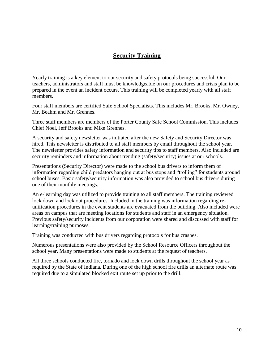#### **Security Training**

Yearly training is a key element to our security and safety protocols being successful. Our teachers, administrators and staff must be knowledgeable on our procedures and crisis plan to be prepared in the event an incident occurs. This training will be completed yearly with all staff members.

Four staff members are certified Safe School Specialists. This includes Mr. Brooks, Mr. Owney, Mr. Beahm and Mr. Grennes.

Three staff members are members of the Porter County Safe School Commission. This includes Chief Noel, Jeff Brooks and Mike Grennes.

A security and safety newsletter was initiated after the new Safety and Security Director was hired. This newsletter is distributed to all staff members by email throughout the school year. The newsletter provides safety information and security tips to staff members. Also included are security reminders and information about trending (safety/security) issues at our schools.

Presentations (Security Director) were made to the school bus drivers to inform them of information regarding child predators hanging out at bus stops and "trolling" for students around school buses. Basic safety/security information was also provided to school bus drivers during one of their monthly meetings.

An e-learning day was utilized to provide training to all staff members. The training reviewed lock down and lock out procedures. Included in the training was information regarding reunification procedures in the event students are evacuated from the building. Also included were areas on campus that are meeting locations for students and staff in an emergency situation. Previous safety/security incidents from our corporation were shared and discussed with staff for learning/training purposes.

Training was conducted with bus drivers regarding protocols for bus crashes.

Numerous presentations were also provided by the School Resource Officers throughout the school year. Many presentations were made to students at the request of teachers.

All three schools conducted fire, tornado and lock down drills throughout the school year as required by the State of Indiana. During one of the high school fire drills an alternate route was required due to a simulated blocked exit route set up prior to the drill.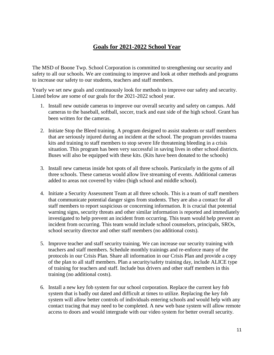### **Goals for 2021-2022 School Year**

The MSD of Boone Twp. School Corporation is committed to strengthening our security and safety to all our schools. We are continuing to improve and look at other methods and programs to increase our safety to our students, teachers and staff members.

Yearly we set new goals and continuously look for methods to improve our safety and security. Listed below are some of our goals for the 2021-2022 school year.

- 1. Install new outside cameras to improve our overall security and safety on campus. Add cameras to the baseball, softball, soccer, track and east side of the high school. Grant has been written for the cameras.
- 2. Initiate Stop the Bleed training. A program designed to assist students or staff members that are seriously injured during an incident at the school. The program provides trauma kits and training to staff members to stop severe life threatening bleeding in a crisis situation. This program has been very successful in saving lives in other school districts. Buses will also be equipped with these kits. (Kits have been donated to the schools)
- 3. Install new cameras inside hot spots of all three schools. Particularly in the gyms of all three schools. These cameras would allow live streaming of events. Additional cameras added to areas not covered by video (high school and middle school).
- 4. Initiate a Security Assessment Team at all three schools. This is a team of staff members that communicate potential danger signs from students. They are also a contact for all staff members to report suspicious or concerning information. It is crucial that potential warning signs, security threats and other similar information is reported and immediately investigated to help prevent an incident from occurring. This team would help prevent an incident from occurring. This team would include school counselors, principals, SROs, school security director and other staff members (no additional costs).
- 5. Improve teacher and staff security training. We can increase our security training with teachers and staff members. Schedule monthly trainings and re-enforce many of the protocols in our Crisis Plan. Share all information in our Crisis Plan and provide a copy of the plan to all staff members. Plan a security/safety training day, include ALICE type of training for teachers and staff. Include bus drivers and other staff members in this training (no additional costs).
- 6. Install a new key fob system for our school corporation. Replace the current key fob system that is badly out dated and difficult at times to utilize. Replacing the key fob system will allow better controls of individuals entering schools and would help with any contact tracing that may need to be completed. A new web base system will allow remote access to doors and would intergrade with our video system for better overall security.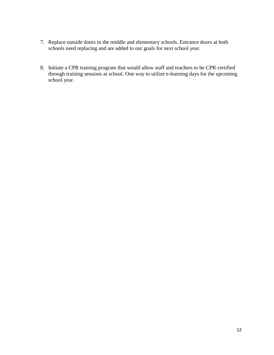- 7. Replace outside doors in the middle and elementary schools. Entrance doors at both schools need replacing and are added to our goals for next school year.
- 8. Initiate a CPR training program that would allow staff and teachers to be CPR certified through training sessions at school. One way to utilize e-learning days for the upcoming school year.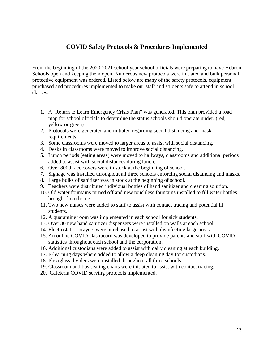#### **COVID Safety Protocols & Procedures Implemented**

From the beginning of the 2020-2021 school year school officials were preparing to have Hebron Schools open and keeping them open. Numerous new protocols were initiated and bulk personal protective equipment was ordered. Listed below are many of the safety protocols, equipment purchased and procedures implemented to make our staff and students safe to attend in school classes.

- 1. A 'Return to Learn Emergency Crisis Plan" was generated. This plan provided a road map for school officials to determine the status schools should operate under. (red, yellow or green)
- 2. Protocols were generated and initiated regarding social distancing and mask requirements.
- 3. Some classrooms were moved to larger areas to assist with social distancing.
- 4. Desks in classrooms were moved to improve social distancing.
- 5. Lunch periods (eating areas) were moved to hallways, classrooms and additional periods added to assist with social distances during lunch.
- 6. Over 8000 face covers were in stock at the beginning of school.
- 7. Signage was installed throughout all three schools enforcing social distancing and masks.
- 8. Large bulks of sanitizer was in stock at the beginning of school.
- 9. Teachers were distributed individual bottles of hand sanitizer and cleaning solution.
- 10. Old water fountains turned off and new touchless fountains installed to fill water bottles brought from home.
- 11. Two new nurses were added to staff to assist with contact tracing and potential ill students.
- 12. A quarantine room was implemented in each school for sick students.
- 13. Over 30 new hand sanitizer dispensers were installed on walls at each school.
- 14. Electrostatic sprayers were purchased to assist with disinfecting large areas.
- 15. An online COVID Dashboard was developed to provide parents and staff with COVID statistics throughout each school and the corporation.
- 16. Additional custodians were added to assist with daily cleaning at each building.
- 17. E-learning days where added to allow a deep cleaning day for custodians.
- 18. Plexiglass dividers were installed throughout all three schools.
- 19. Classroom and bus seating charts were initiated to assist with contact tracing.
- 20. Cafeteria COVID serving protocols implemented.